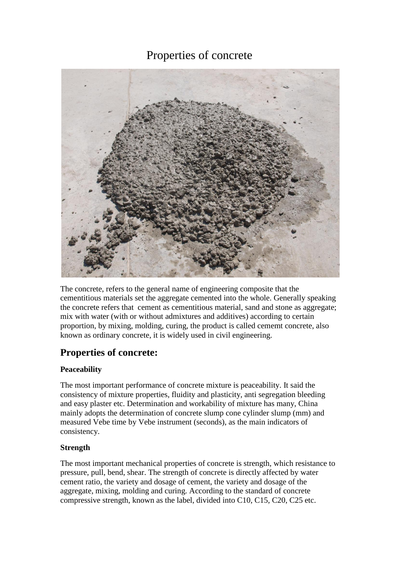# Properties of concrete



The concrete, refers to the general name of engineering composite that the cementitious materials set the aggregate cemented into the whole. Generally speaking the concrete refers that cement as cementitious material, sand and stone as aggregate; mix with water (with or without admixtures and additives) according to certain proportion, by mixing, molding, curing, the product is called cememt concrete, also known as ordinary concrete, it is widely used in civil engineering.

# **Properties of concrete:**

## **Peaceability**

The most important performance of concrete mixture is peaceability. It said the consistency of mixture properties, fluidity and plasticity, anti segregation bleeding and easy plaster etc. Determination and workability of mixture has many, China mainly adopts the determination of concrete slump cone cylinder slump (mm) and measured Vebe time by Vebe instrument (seconds), as the main indicators of consistency.

## **Strength**

The most important mechanical properties of concrete is strength, which resistance to pressure, pull, bend, shear. The strength of concrete is directly affected by water cement ratio, the variety and dosage of cement, the variety and dosage of the aggregate, mixing, molding and curing. According to the standard of concrete compressive strength, known as the label, divided into C10, C15, C20, C25 etc.